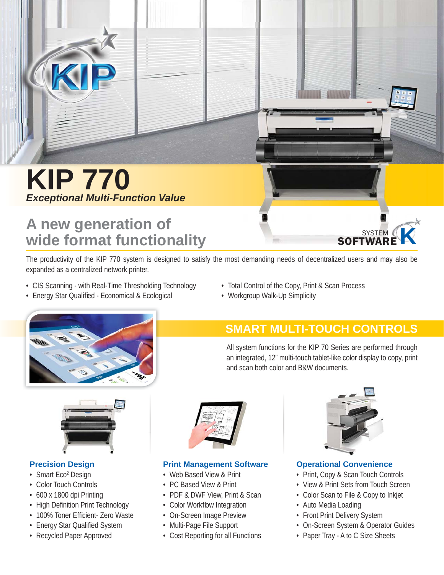

# **KIP 770** *Exceptional Multi-Function Value*

# **A new generation of wide format functionality**

The productivity of the KIP 770 system is designed to satisfy the most demanding needs of decentralized users and may also be expanded as a centralized network printer.

• CIS Scanning - with Real-Time Thresholding Technology

• Energy Star Qualified - Economical & Ecological

- Total Control of the Copy, Print & Scan Process
- Workgroup Walk-Up Simplicity



# **SMART MULTI-TOUCH CONTROLS**

All system functions for the KIP 70 Series are performed through an integrated, 12" multi-touch tablet-like color display to copy, print and scan both color and B&W documents.



### **Precision Design**

- Smart Eco<sup>2</sup> Design
- Color Touch Controls
- 600 x 1800 dpi Printing
- High Definition Print Technology
- 100% Toner Efficient- Zero Waste
- Energy Star Qualified System
- Recycled Paper Approved



### **Print Management Software**

- Web Based View & Print
- PC Based View & Print
- PDF & DWF View, Print & Scan
- Color Workflow Integration
- On-Screen Image Preview
- Multi-Page File Support
- Cost Reporting for all Functions



SYSTEM

<sup>M</sup>RE**K**

**SOFTWAR** 

### **Operational Convenience**

- Print, Copy & Scan Touch Controls
- View & Print Sets from Touch Screen
- Color Scan to File & Copy to Inkjet
- Auto Media Loading
- Front Print Delivery System
- On-Screen System & Operator Guides
- Paper Tray A to C Size Sheets